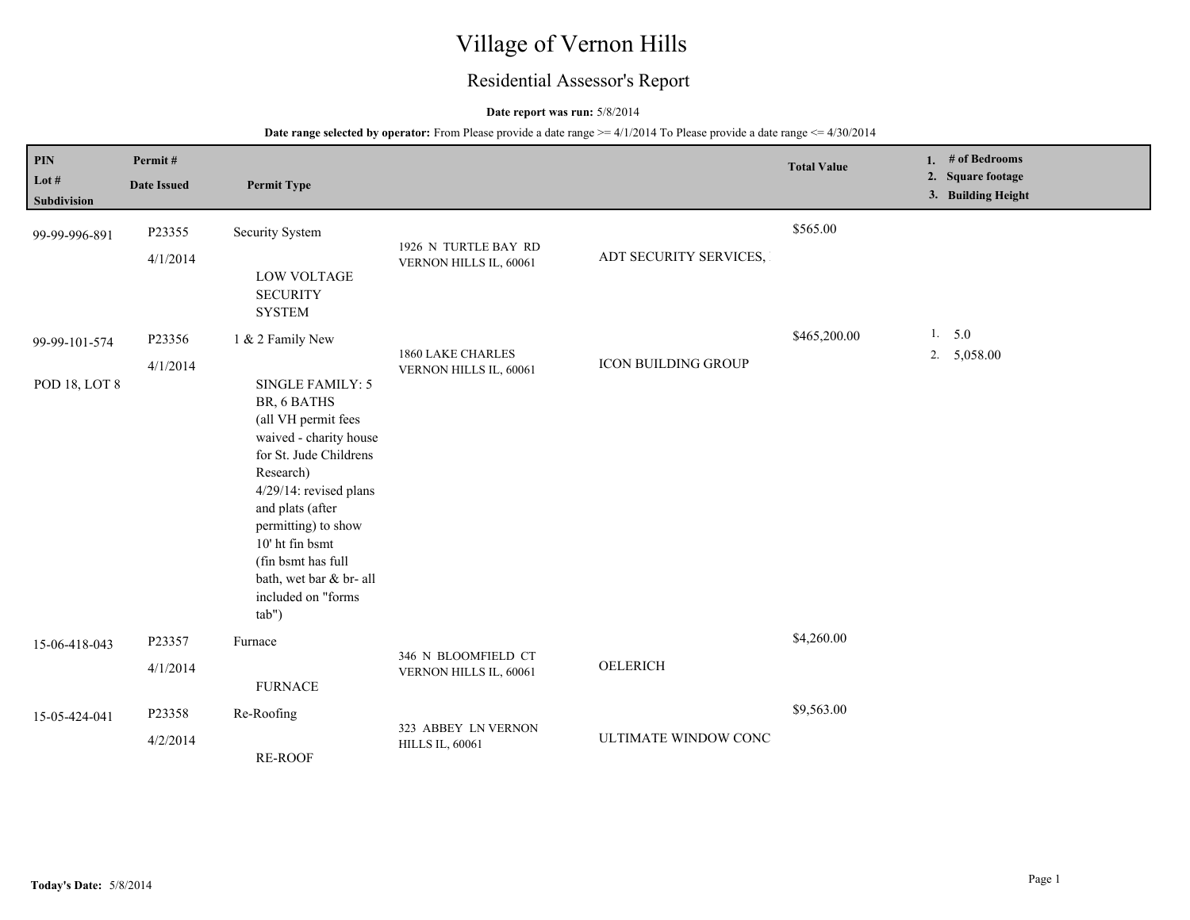# Village of Vernon Hills

## Residential Assessor's Report

### **Date report was run:** 5/8/2014

| <b>PIN</b><br>Lot #<br>Subdivision    | Permit#<br><b>Date Issued</b> | <b>Permit Type</b>                                                                                                                                                                                                                                                                                                  |                                                |                        | <b>Total Value</b> | 1. # of Bedrooms<br>2. Square footage<br>3. Building Height |
|---------------------------------------|-------------------------------|---------------------------------------------------------------------------------------------------------------------------------------------------------------------------------------------------------------------------------------------------------------------------------------------------------------------|------------------------------------------------|------------------------|--------------------|-------------------------------------------------------------|
| 99-99-996-891                         | P23355<br>4/1/2014            | Security System<br><b>LOW VOLTAGE</b><br><b>SECURITY</b><br><b>SYSTEM</b>                                                                                                                                                                                                                                           | 1926 N TURTLE BAY RD<br>VERNON HILLS IL, 60061 | ADT SECURITY SERVICES, | \$565.00           |                                                             |
| 99-99-101-574<br><b>POD 18, LOT 8</b> | P23356<br>4/1/2014            | 1 & 2 Family New<br>SINGLE FAMILY: 5<br>BR, 6 BATHS<br>(all VH permit fees<br>waived - charity house<br>for St. Jude Childrens<br>Research)<br>4/29/14: revised plans<br>and plats (after<br>permitting) to show<br>10' ht fin bsmt<br>(fin bsmt has full<br>bath, wet bar & br- all<br>included on "forms<br>tab") | 1860 LAKE CHARLES<br>VERNON HILLS IL, 60061    | ICON BUILDING GROUP    | \$465,200.00       | 1. 5.0<br>2. 5,058.00                                       |
| 15-06-418-043                         | P23357<br>4/1/2014            | Furnace<br><b>FURNACE</b>                                                                                                                                                                                                                                                                                           | 346 N BLOOMFIELD CT<br>VERNON HILLS IL, 60061  | OELERICH               | \$4,260.00         |                                                             |
| 15-05-424-041                         | P23358<br>4/2/2014            | Re-Roofing<br><b>RE-ROOF</b>                                                                                                                                                                                                                                                                                        | 323 ABBEY LN VERNON<br><b>HILLS IL, 60061</b>  | ULTIMATE WINDOW CONC   | \$9,563.00         |                                                             |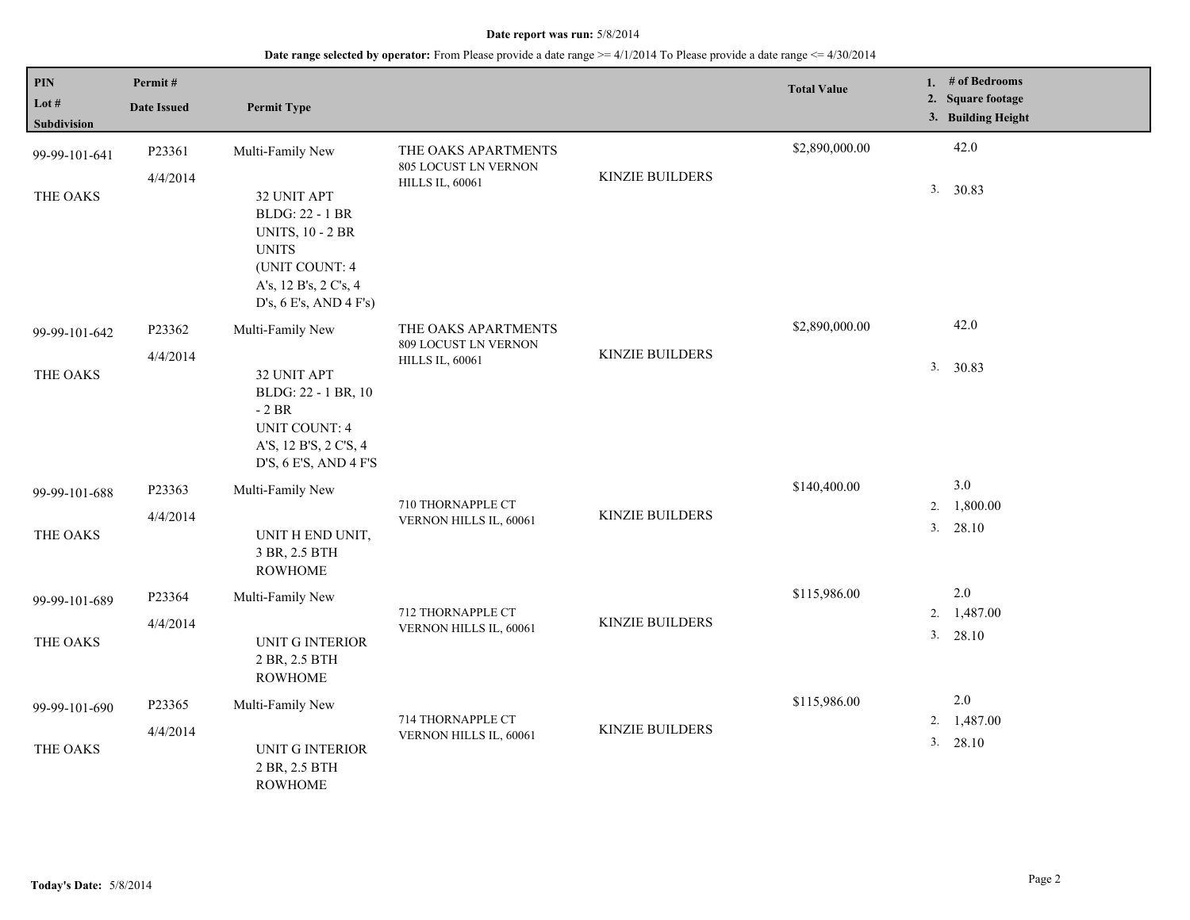| $\overline{PIN}$<br>Lot $#$<br>Subdivision | Permit#<br><b>Date Issued</b> | <b>Permit Type</b>                                                                                                                                    |                                                |                        | <b>Total Value</b> |          | 1. $#$ of Bedrooms<br>2. Square footage<br>3. Building Height |
|--------------------------------------------|-------------------------------|-------------------------------------------------------------------------------------------------------------------------------------------------------|------------------------------------------------|------------------------|--------------------|----------|---------------------------------------------------------------|
| 99-99-101-641                              | P23361                        | Multi-Family New                                                                                                                                      | THE OAKS APARTMENTS                            |                        | \$2,890,000.00     |          | 42.0                                                          |
| THE OAKS                                   | 4/4/2014                      | 32 UNIT APT<br><b>BLDG: 22 - 1 BR</b><br><b>UNITS, 10 - 2 BR</b><br><b>UNITS</b><br>(UNIT COUNT: 4<br>A's, 12 B's, 2 C's, 4<br>D's, 6 E's, AND 4 F's) | 805 LOCUST LN VERNON<br><b>HILLS IL, 60061</b> | <b>KINZIE BUILDERS</b> |                    | 3.       | 30.83                                                         |
| 99-99-101-642                              | P23362                        | Multi-Family New                                                                                                                                      | THE OAKS APARTMENTS<br>809 LOCUST LN VERNON    |                        | \$2,890,000.00     |          | 42.0                                                          |
| THE OAKS                                   | 4/4/2014                      | 32 UNIT APT<br>BLDG: 22 - 1 BR, 10<br>$-2 BR$<br><b>UNIT COUNT: 4</b><br>A'S, 12 B'S, 2 C'S, 4<br>D'S, 6 E'S, AND 4 F'S                               | <b>HILLS IL, 60061</b>                         | <b>KINZIE BUILDERS</b> |                    |          | 3. 30.83                                                      |
| 99-99-101-688                              | P23363                        | Multi-Family New                                                                                                                                      |                                                |                        | \$140,400.00       |          | 3.0                                                           |
| THE OAKS                                   | 4/4/2014                      | UNIT H END UNIT,<br>3 BR, 2.5 BTH<br><b>ROWHOME</b>                                                                                                   | 710 THORNAPPLE CT<br>VERNON HILLS IL, 60061    | <b>KINZIE BUILDERS</b> |                    | 2.<br>3. | 1,800.00<br>28.10                                             |
| 99-99-101-689                              | P23364                        | Multi-Family New                                                                                                                                      |                                                |                        | \$115,986.00       |          | $2.0\,$                                                       |
| THE OAKS                                   | 4/4/2014                      | UNIT G INTERIOR<br>2 BR, 2.5 BTH<br><b>ROWHOME</b>                                                                                                    | 712 THORNAPPLE CT<br>VERNON HILLS IL, 60061    | <b>KINZIE BUILDERS</b> |                    | 2.       | 1,487.00<br>3. 28.10                                          |
| 99-99-101-690                              | P23365                        | Multi-Family New                                                                                                                                      |                                                |                        | \$115,986.00       |          | $2.0\,$                                                       |
| THE OAKS                                   | 4/4/2014                      | UNIT G INTERIOR<br>2 BR, 2.5 BTH<br><b>ROWHOME</b>                                                                                                    | 714 THORNAPPLE CT<br>VERNON HILLS IL, 60061    | <b>KINZIE BUILDERS</b> |                    | 2.<br>3. | 1,487.00<br>28.10                                             |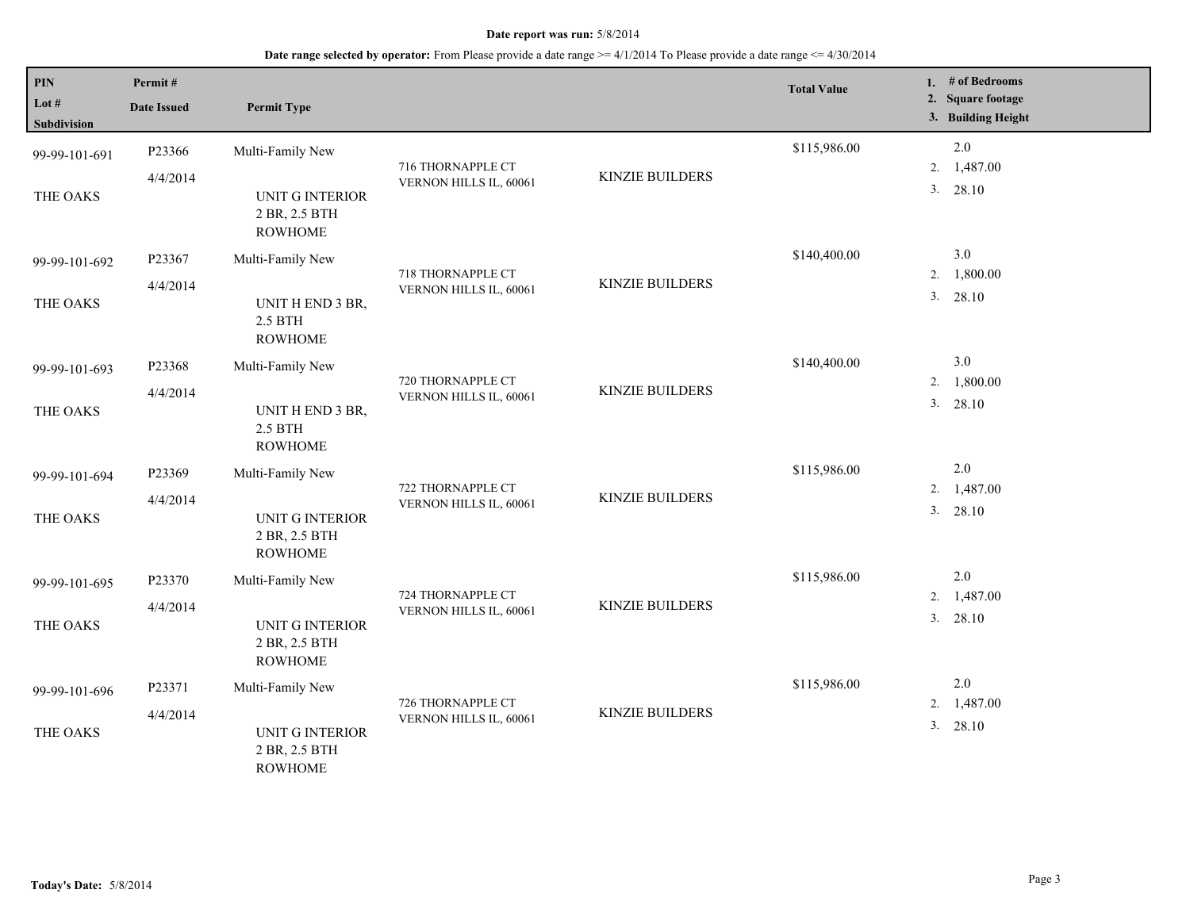| $\overline{PIN}$<br>Lot $#$<br>Subdivision | Permit#<br><b>Date Issued</b> | <b>Permit Type</b>                                        |                                             |                        | <b>Total Value</b> |    | 1. # of Bedrooms<br>2. Square footage<br>3. Building Height |
|--------------------------------------------|-------------------------------|-----------------------------------------------------------|---------------------------------------------|------------------------|--------------------|----|-------------------------------------------------------------|
| 99-99-101-691                              | P23366                        | Multi-Family New                                          |                                             |                        | \$115,986.00       |    | 2.0                                                         |
|                                            | 4/4/2014                      |                                                           | 716 THORNAPPLE CT<br>VERNON HILLS IL, 60061 | <b>KINZIE BUILDERS</b> |                    | 2. | 1,487.00                                                    |
| THE OAKS                                   |                               | UNIT G INTERIOR<br>2 BR, 2.5 BTH<br><b>ROWHOME</b>        |                                             |                        |                    |    | 3. 28.10                                                    |
| 99-99-101-692                              | P23367                        | Multi-Family New                                          |                                             |                        | \$140,400.00       |    | 3.0                                                         |
|                                            | 4/4/2014                      |                                                           | 718 THORNAPPLE CT<br>VERNON HILLS IL, 60061 | <b>KINZIE BUILDERS</b> |                    | 2. | 1,800.00                                                    |
| THE OAKS                                   |                               | UNIT H END 3 BR,<br>2.5 BTH<br><b>ROWHOME</b>             |                                             |                        |                    |    | 28.10<br>3.                                                 |
| 99-99-101-693                              | P23368                        | Multi-Family New                                          |                                             |                        | \$140,400.00       |    | 3.0                                                         |
|                                            | 4/4/2014                      |                                                           | 720 THORNAPPLE CT<br>VERNON HILLS IL, 60061 | <b>KINZIE BUILDERS</b> |                    | 2. | 1,800.00                                                    |
| THE OAKS                                   |                               | UNIT H END 3 BR,<br>2.5 BTH<br><b>ROWHOME</b>             |                                             |                        |                    | 3. | 28.10                                                       |
| 99-99-101-694                              | P23369                        | Multi-Family New                                          |                                             | <b>KINZIE BUILDERS</b> | \$115,986.00       |    | 2.0                                                         |
|                                            | 4/4/2014                      |                                                           | 722 THORNAPPLE CT<br>VERNON HILLS IL, 60061 |                        |                    | 2. | 1,487.00                                                    |
| THE OAKS                                   |                               | <b>UNIT G INTERIOR</b><br>2 BR, 2.5 BTH<br><b>ROWHOME</b> |                                             |                        |                    |    | 3. 28.10                                                    |
| 99-99-101-695                              | P23370                        | Multi-Family New                                          |                                             |                        | \$115,986.00       |    | $2.0\,$                                                     |
|                                            | 4/4/2014                      |                                                           | 724 THORNAPPLE CT                           | <b>KINZIE BUILDERS</b> |                    | 2. | 1,487.00                                                    |
| THE OAKS                                   |                               | UNIT G INTERIOR<br>2 BR, 2.5 BTH<br><b>ROWHOME</b>        | VERNON HILLS IL, 60061                      |                        |                    |    | 3. 28.10                                                    |
| 99-99-101-696                              | P23371                        | Multi-Family New                                          |                                             |                        | \$115,986.00       |    | 2.0                                                         |
|                                            | 4/4/2014                      |                                                           | 726 THORNAPPLE CT                           | <b>KINZIE BUILDERS</b> |                    | 2. | 1,487.00                                                    |
| THE OAKS                                   |                               | <b>UNIT G INTERIOR</b><br>2 BR, 2.5 BTH<br><b>ROWHOME</b> | VERNON HILLS IL, 60061                      |                        |                    | 3. | 28.10                                                       |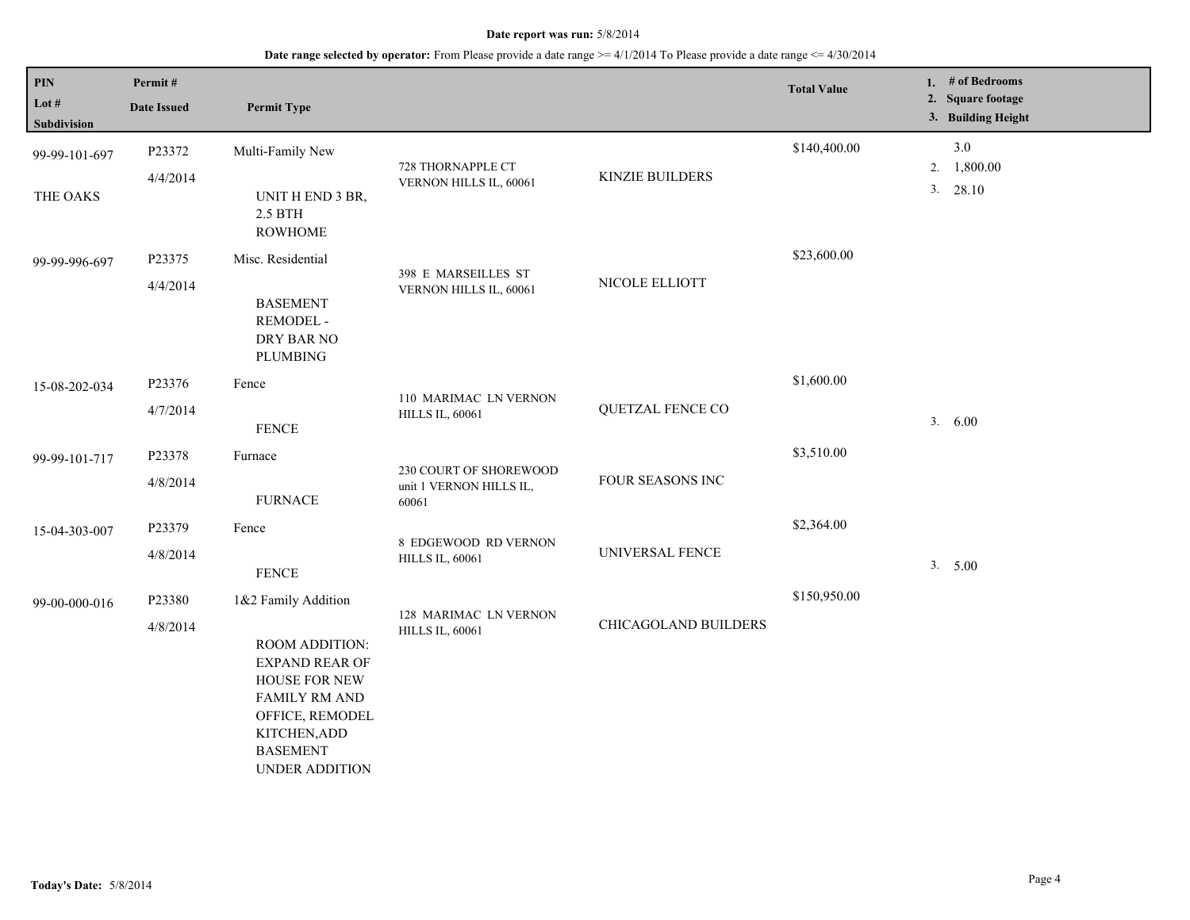| $\mathbf{PIN}$<br>Lot #<br>Subdivision | Permit#<br><b>Date Issued</b> | <b>Permit Type</b>                                                                                                                                                              |                                                            |                             | <b>Total Value</b> |          | 1. # of Bedrooms<br>2. Square footage<br>3. Building Height |
|----------------------------------------|-------------------------------|---------------------------------------------------------------------------------------------------------------------------------------------------------------------------------|------------------------------------------------------------|-----------------------------|--------------------|----------|-------------------------------------------------------------|
| 99-99-101-697<br>THE OAKS              | P23372<br>4/4/2014            | Multi-Family New<br>UNIT H END 3 BR,<br>$2.5$ BTH<br><b>ROWHOME</b>                                                                                                             | 728 THORNAPPLE CT<br>VERNON HILLS IL, 60061                | <b>KINZIE BUILDERS</b>      | \$140,400.00       | 2.<br>3. | 3.0<br>1,800.00<br>28.10                                    |
| 99-99-996-697                          | P23375<br>4/4/2014            | Misc. Residential<br><b>BASEMENT</b><br>REMODEL -<br>DRY BAR NO<br><b>PLUMBING</b>                                                                                              | 398 E MARSEILLES ST<br>VERNON HILLS IL, 60061              | NICOLE ELLIOTT              | \$23,600.00        |          |                                                             |
| 15-08-202-034                          | P23376<br>4/7/2014            | Fence<br><b>FENCE</b>                                                                                                                                                           | 110 MARIMAC LN VERNON<br><b>HILLS IL, 60061</b>            | QUETZAL FENCE CO            | \$1,600.00         |          | 3. 6.00                                                     |
| 99-99-101-717                          | P23378<br>4/8/2014            | Furnace<br><b>FURNACE</b>                                                                                                                                                       | 230 COURT OF SHOREWOOD<br>unit 1 VERNON HILLS IL,<br>60061 | FOUR SEASONS INC            | \$3,510.00         |          |                                                             |
| 15-04-303-007                          | P23379<br>4/8/2014            | Fence<br><b>FENCE</b>                                                                                                                                                           | 8 EDGEWOOD RD VERNON<br><b>HILLS IL, 60061</b>             | UNIVERSAL FENCE             | \$2,364.00         |          | 3. 5.00                                                     |
| 99-00-000-016                          | P23380<br>4/8/2014            | 1&2 Family Addition<br>ROOM ADDITION:<br><b>EXPAND REAR OF</b><br>HOUSE FOR NEW<br><b>FAMILY RM AND</b><br>OFFICE, REMODEL<br>KITCHEN, ADD<br><b>BASEMENT</b><br>UNDER ADDITION | 128 MARIMAC LN VERNON<br><b>HILLS IL, 60061</b>            | <b>CHICAGOLAND BUILDERS</b> | \$150,950.00       |          |                                                             |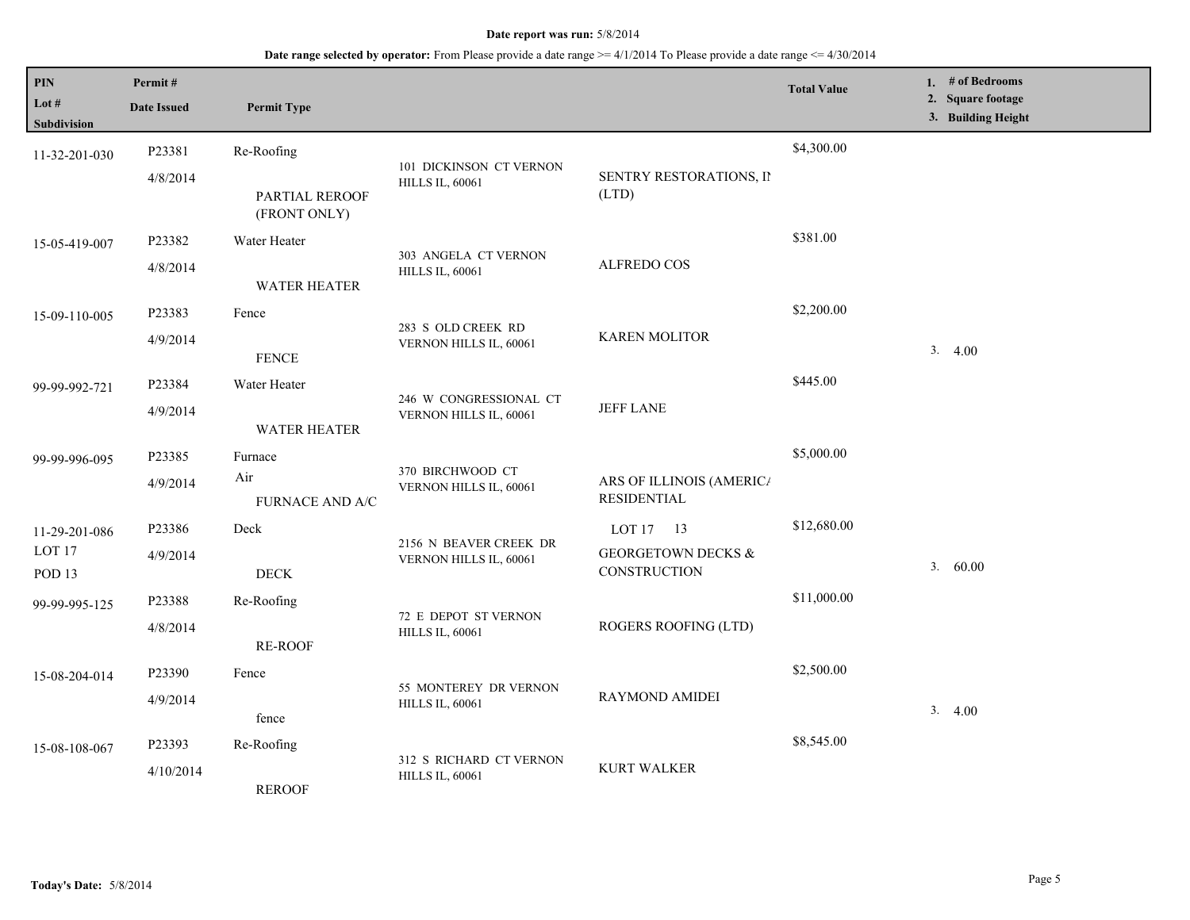| $\mathbf{PIN}$<br>Lot #<br>Subdivision                  | Permit#<br><b>Date Issued</b> | <b>Permit Type</b>                           |                                                   |                                                            | <b>Total Value</b> | 1. # of Bedrooms<br>2. Square footage<br>3. Building Height |
|---------------------------------------------------------|-------------------------------|----------------------------------------------|---------------------------------------------------|------------------------------------------------------------|--------------------|-------------------------------------------------------------|
| 11-32-201-030                                           | P23381<br>4/8/2014            | Re-Roofing<br>PARTIAL REROOF<br>(FRONT ONLY) | 101 DICKINSON CT VERNON<br><b>HILLS IL, 60061</b> | SENTRY RESTORATIONS, II<br>(LTD)                           | \$4,300.00         |                                                             |
| 15-05-419-007                                           | P23382<br>4/8/2014            | Water Heater<br>WATER HEATER                 | 303 ANGELA CT VERNON<br><b>HILLS IL, 60061</b>    | <b>ALFREDO COS</b>                                         | \$381.00           |                                                             |
| 15-09-110-005                                           | P23383<br>4/9/2014            | Fence<br><b>FENCE</b>                        | 283 S OLD CREEK RD<br>VERNON HILLS IL, 60061      | <b>KAREN MOLITOR</b>                                       | \$2,200.00         | 3.4.00                                                      |
| 99-99-992-721                                           | P23384<br>4/9/2014            | Water Heater<br><b>WATER HEATER</b>          | 246 W CONGRESSIONAL CT<br>VERNON HILLS IL, 60061  | <b>JEFF LANE</b>                                           | \$445.00           |                                                             |
| 99-99-996-095                                           | P23385<br>4/9/2014            | Furnace<br>Air<br>FURNACE AND A/C            | 370 BIRCHWOOD CT<br>VERNON HILLS IL, 60061        | ARS OF ILLINOIS (AMERICA<br><b>RESIDENTIAL</b>             | \$5,000.00         |                                                             |
| 11-29-201-086<br>LOT <sub>17</sub><br>POD <sub>13</sub> | P23386<br>4/9/2014            | Deck<br>$\rm{DECK}$                          | 2156 N BEAVER CREEK DR<br>VERNON HILLS IL, 60061  | LOT 17 13<br><b>GEORGETOWN DECKS &amp;</b><br>CONSTRUCTION | \$12,680.00        | 3.60.00                                                     |
| 99-99-995-125                                           | P23388<br>4/8/2014            | Re-Roofing<br><b>RE-ROOF</b>                 | 72 E DEPOT ST VERNON<br><b>HILLS IL, 60061</b>    | ROGERS ROOFING (LTD)                                       | \$11,000.00        |                                                             |
| 15-08-204-014                                           | P23390<br>4/9/2014            | Fence<br>fence                               | 55 MONTEREY DR VERNON<br><b>HILLS IL, 60061</b>   | <b>RAYMOND AMIDEI</b>                                      | \$2,500.00         | 3.4.00                                                      |
| 15-08-108-067                                           | P23393<br>4/10/2014           | Re-Roofing<br><b>REROOF</b>                  | 312 S RICHARD CT VERNON<br><b>HILLS IL, 60061</b> | <b>KURT WALKER</b>                                         | \$8,545.00         |                                                             |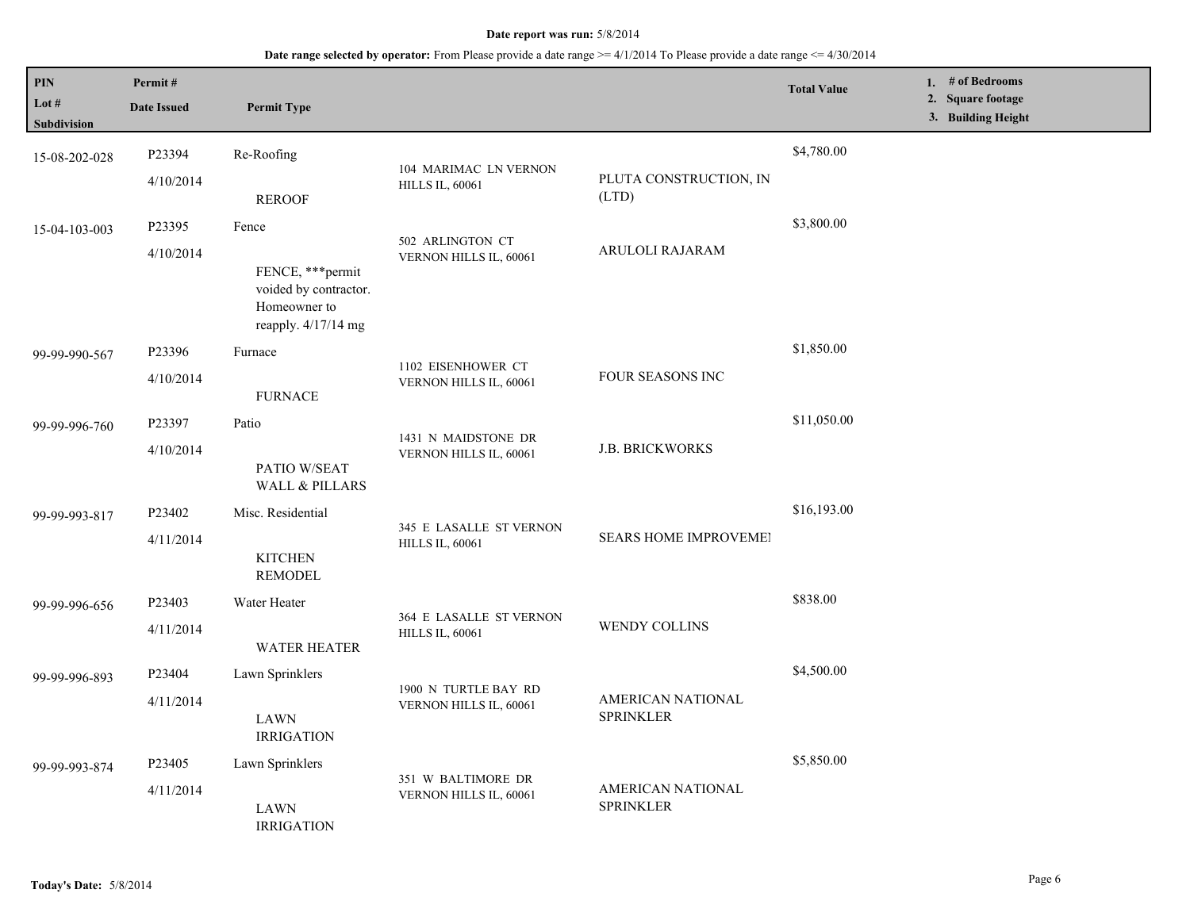| <b>PIN</b><br>Lot #<br>Subdivision | Permit#<br><b>Date Issued</b>                                                     | <b>Permit Type</b>                                                                    |                                                   |                                       | <b>Total Value</b> | 1. # of Bedrooms<br>2. Square footage<br>3. Building Height |
|------------------------------------|-----------------------------------------------------------------------------------|---------------------------------------------------------------------------------------|---------------------------------------------------|---------------------------------------|--------------------|-------------------------------------------------------------|
| 15-08-202-028                      | P23394<br>4/10/2014                                                               | Re-Roofing                                                                            | 104 MARIMAC LN VERNON<br><b>HILLS IL, 60061</b>   | PLUTA CONSTRUCTION, IN                | \$4,780.00         |                                                             |
|                                    |                                                                                   | <b>REROOF</b>                                                                         |                                                   | (LTD)                                 |                    |                                                             |
| 15-04-103-003                      | P23395                                                                            | Fence                                                                                 | 502 ARLINGTON CT                                  |                                       | \$3,800.00         |                                                             |
| 4/10/2014                          | FENCE, *** permit<br>voided by contractor.<br>Homeowner to<br>reapply. 4/17/14 mg | VERNON HILLS IL, 60061                                                                | ARULOLI RAJARAM                                   |                                       |                    |                                                             |
| 99-99-990-567                      | P23396                                                                            | Furnace                                                                               | 1102 EISENHOWER CT                                |                                       | \$1,850.00         |                                                             |
| 4/10/2014                          | <b>FURNACE</b>                                                                    | VERNON HILLS IL, 60061                                                                | FOUR SEASONS INC                                  |                                       |                    |                                                             |
| 99-99-996-760                      | P23397                                                                            | Patio                                                                                 | 1431 N MAIDSTONE DR                               |                                       | \$11,050.00        |                                                             |
|                                    | 4/10/2014                                                                         | PATIO W/SEAT<br><b>WALL &amp; PILLARS</b>                                             | VERNON HILLS IL, 60061                            | <b>J.B. BRICKWORKS</b>                |                    |                                                             |
| 99-99-993-817                      | P23402                                                                            | Misc. Residential                                                                     |                                                   | SEARS HOME IMPROVEMEI                 | \$16,193.00        |                                                             |
|                                    | 4/11/2014                                                                         | <b>KITCHEN</b><br><b>REMODEL</b>                                                      | 345 E LASALLE ST VERNON<br><b>HILLS IL, 60061</b> |                                       |                    |                                                             |
| 99-99-996-656                      | P23403                                                                            | Water Heater                                                                          | 364 E LASALLE ST VERNON                           |                                       | \$838.00           |                                                             |
|                                    | 4/11/2014                                                                         | <b>WATER HEATER</b>                                                                   | <b>HILLS IL, 60061</b>                            | WENDY COLLINS                         |                    |                                                             |
| 99-99-996-893                      | P23404                                                                            | Lawn Sprinklers                                                                       | 1900 N TURTLE BAY RD                              |                                       | \$4,500.00         |                                                             |
|                                    | 4/11/2014                                                                         | LAWN<br><b>IRRIGATION</b>                                                             | VERNON HILLS IL, 60061                            | AMERICAN NATIONAL<br><b>SPRINKLER</b> |                    |                                                             |
| 99-99-993-874                      | P23405                                                                            | Lawn Sprinklers                                                                       |                                                   |                                       | \$5,850.00         |                                                             |
|                                    | 4/11/2014<br><b>LAWN</b><br><b>IRRIGATION</b>                                     | 351 W BALTIMORE DR<br>AMERICAN NATIONAL<br>VERNON HILLS IL, 60061<br><b>SPRINKLER</b> |                                                   |                                       |                    |                                                             |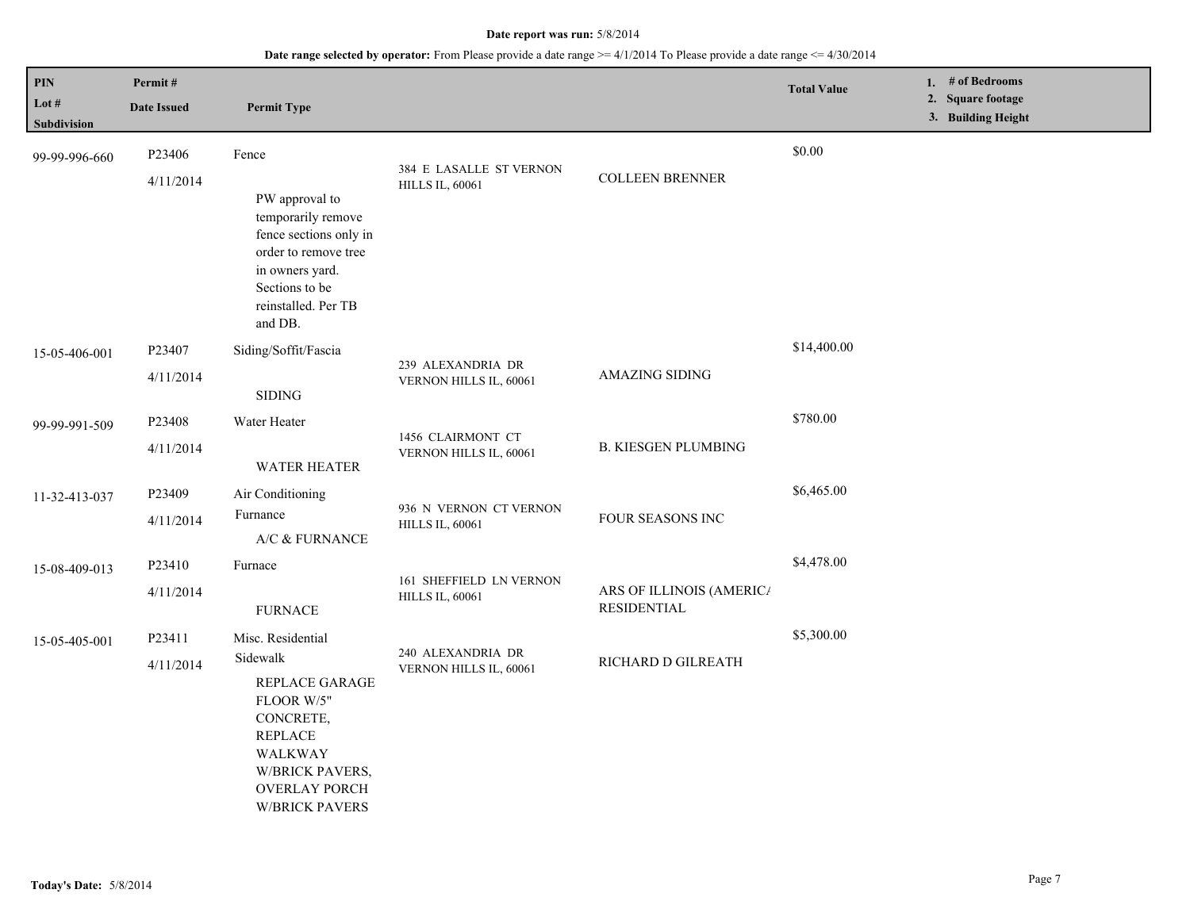| <b>PIN</b><br>Lot $#$<br>Subdivision | Permit#<br><b>Date Issued</b>   | <b>Permit Type</b>                                                                                                                                                                 |                                                   |                                                | <b>Total Value</b> | 1. # of Bedrooms<br>2. Square footage<br>3. Building Height |
|--------------------------------------|---------------------------------|------------------------------------------------------------------------------------------------------------------------------------------------------------------------------------|---------------------------------------------------|------------------------------------------------|--------------------|-------------------------------------------------------------|
| 99-99-996-660                        | P <sub>23406</sub><br>4/11/2014 | Fence<br>PW approval to<br>temporarily remove<br>fence sections only in<br>order to remove tree<br>in owners yard.<br>Sections to be<br>reinstalled. Per TB<br>and DB.             | 384 E LASALLE ST VERNON<br><b>HILLS IL, 60061</b> | <b>COLLEEN BRENNER</b>                         | \$0.00             |                                                             |
| 15-05-406-001                        | P23407<br>4/11/2014             | Siding/Soffit/Fascia<br>$\operatorname{SIDING}$                                                                                                                                    | 239 ALEXANDRIA DR<br>VERNON HILLS IL, 60061       | <b>AMAZING SIDING</b>                          | \$14,400.00        |                                                             |
| 99-99-991-509                        | P23408<br>4/11/2014             | Water Heater<br><b>WATER HEATER</b>                                                                                                                                                | 1456 CLAIRMONT CT<br>VERNON HILLS IL, 60061       | <b>B. KIESGEN PLUMBING</b>                     | \$780.00           |                                                             |
| 11-32-413-037                        | P23409<br>4/11/2014             | Air Conditioning<br>Furnance<br>A/C $\&$ FURNANCE                                                                                                                                  | 936 N VERNON CT VERNON<br><b>HILLS IL, 60061</b>  | FOUR SEASONS INC                               | \$6,465.00         |                                                             |
| 15-08-409-013                        | P23410<br>4/11/2014             | Furnace<br><b>FURNACE</b>                                                                                                                                                          | 161 SHEFFIELD LN VERNON<br><b>HILLS IL, 60061</b> | ARS OF ILLINOIS (AMERICA<br><b>RESIDENTIAL</b> | \$4,478.00         |                                                             |
| 15-05-405-001                        | P <sub>23411</sub><br>4/11/2014 | Misc. Residential<br>Sidewalk<br>REPLACE GARAGE<br>FLOOR W/5"<br>CONCRETE,<br><b>REPLACE</b><br>WALKWAY<br><b>W/BRICK PAVERS,</b><br><b>OVERLAY PORCH</b><br><b>W/BRICK PAVERS</b> | 240 ALEXANDRIA DR<br>VERNON HILLS IL, 60061       | RICHARD D GILREATH                             | \$5,300.00         |                                                             |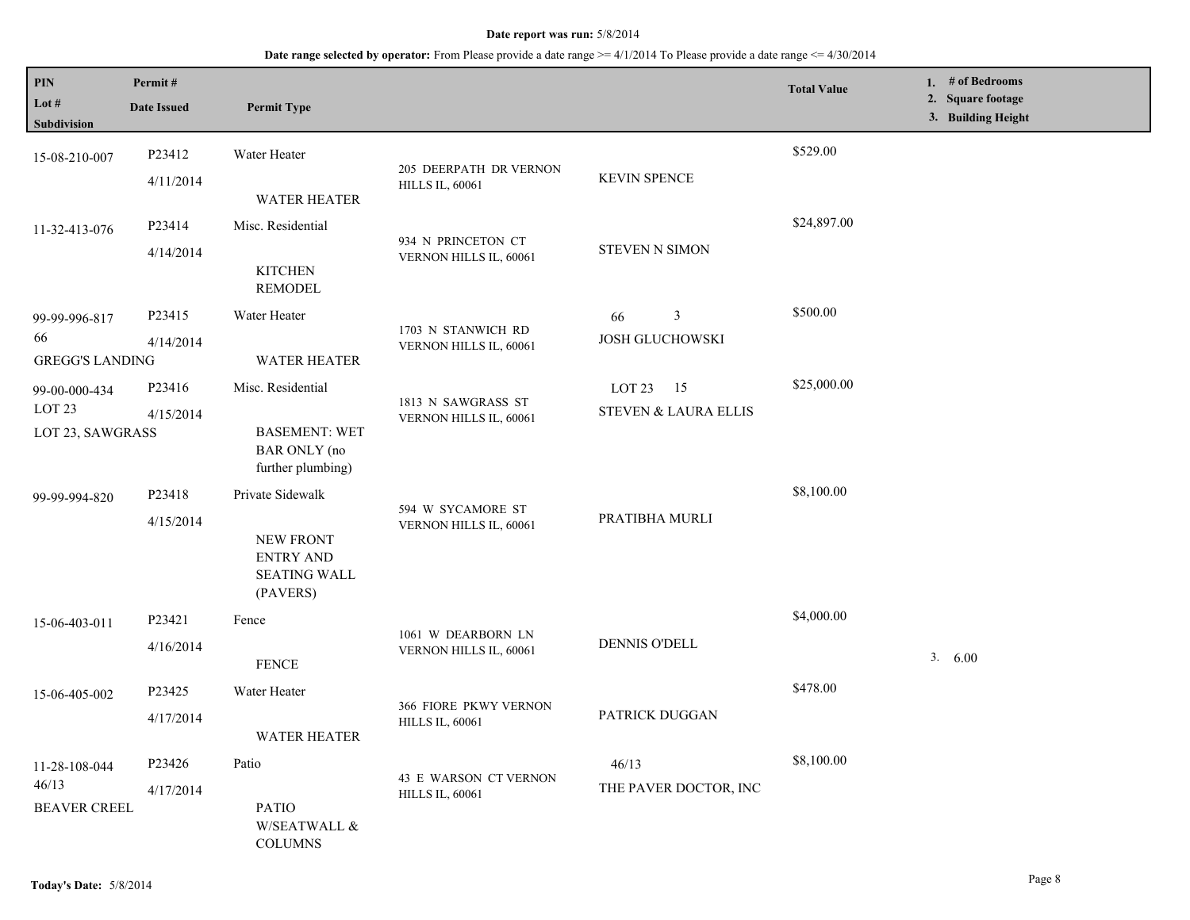| PIN<br>Lot $#$<br>Subdivision                      | Permit#<br><b>Date Issued</b>                                    | <b>Permit Type</b>                                               |                                                  |                       | <b>Total Value</b> | 1. # of Bedrooms<br>2. Square footage<br>3. Building Height |
|----------------------------------------------------|------------------------------------------------------------------|------------------------------------------------------------------|--------------------------------------------------|-----------------------|--------------------|-------------------------------------------------------------|
| 15-08-210-007                                      | P23412<br>4/11/2014                                              | Water Heater                                                     | 205 DEERPATH DR VERNON<br><b>HILLS IL, 60061</b> | <b>KEVIN SPENCE</b>   | \$529.00           |                                                             |
|                                                    |                                                                  | <b>WATER HEATER</b>                                              |                                                  |                       |                    |                                                             |
| 11-32-413-076                                      | P23414                                                           | Misc. Residential                                                | 934 N PRINCETON CT                               |                       | \$24,897.00        |                                                             |
|                                                    | 4/14/2014                                                        | <b>KITCHEN</b><br><b>REMODEL</b>                                 | VERNON HILLS IL, 60061                           | <b>STEVEN N SIMON</b> |                    |                                                             |
| 99-99-996-817                                      | P23415                                                           | Water Heater                                                     | 1703 N STANWICH RD                               | $\mathfrak{Z}$<br>66  | \$500.00           |                                                             |
| 66<br>4/14/2014<br><b>GREGG'S LANDING</b>          | <b>WATER HEATER</b>                                              | VERNON HILLS IL, 60061                                           | <b>JOSH GLUCHOWSKI</b>                           |                       |                    |                                                             |
| 99-00-000-434                                      | P23416                                                           | Misc. Residential                                                | 1813 N SAWGRASS ST                               | LOT 23<br>- 15        | \$25,000.00        |                                                             |
| LOT <sub>23</sub><br>4/15/2014<br>LOT 23, SAWGRASS | <b>BASEMENT: WET</b><br><b>BAR ONLY</b> (no<br>further plumbing) | VERNON HILLS IL, 60061                                           | STEVEN & LAURA ELLIS                             |                       |                    |                                                             |
| 99-99-994-820                                      | P23418                                                           | Private Sidewalk                                                 |                                                  |                       | \$8,100.00         |                                                             |
|                                                    | 4/15/2014                                                        | NEW FRONT<br><b>ENTRY AND</b><br><b>SEATING WALL</b><br>(PAVERS) | 594 W SYCAMORE ST<br>VERNON HILLS IL, 60061      | PRATIBHA MURLI        |                    |                                                             |
| 15-06-403-011                                      | P23421                                                           | Fence                                                            |                                                  |                       | \$4,000.00         |                                                             |
|                                                    | 4/16/2014                                                        | <b>FENCE</b>                                                     | 1061 W DEARBORN LN<br>VERNON HILLS IL, 60061     | DENNIS O'DELL         |                    | 3. 6.00                                                     |
| 15-06-405-002                                      | P23425                                                           | Water Heater                                                     | 366 FIORE PKWY VERNON                            |                       | \$478.00           |                                                             |
|                                                    | 4/17/2014                                                        | <b>WATER HEATER</b>                                              | <b>HILLS IL, 60061</b>                           | PATRICK DUGGAN        |                    |                                                             |
| 11-28-108-044                                      | P23426                                                           | Patio                                                            | 43 E WARSON CT VERNON                            | 46/13                 | \$8,100.00         |                                                             |
| 46/13<br><b>BEAVER CREEL</b>                       | 4/17/2014                                                        | <b>PATIO</b><br>W/SEATWALL $\&$<br><b>COLUMNS</b>                | <b>HILLS IL, 60061</b>                           | THE PAVER DOCTOR, INC |                    |                                                             |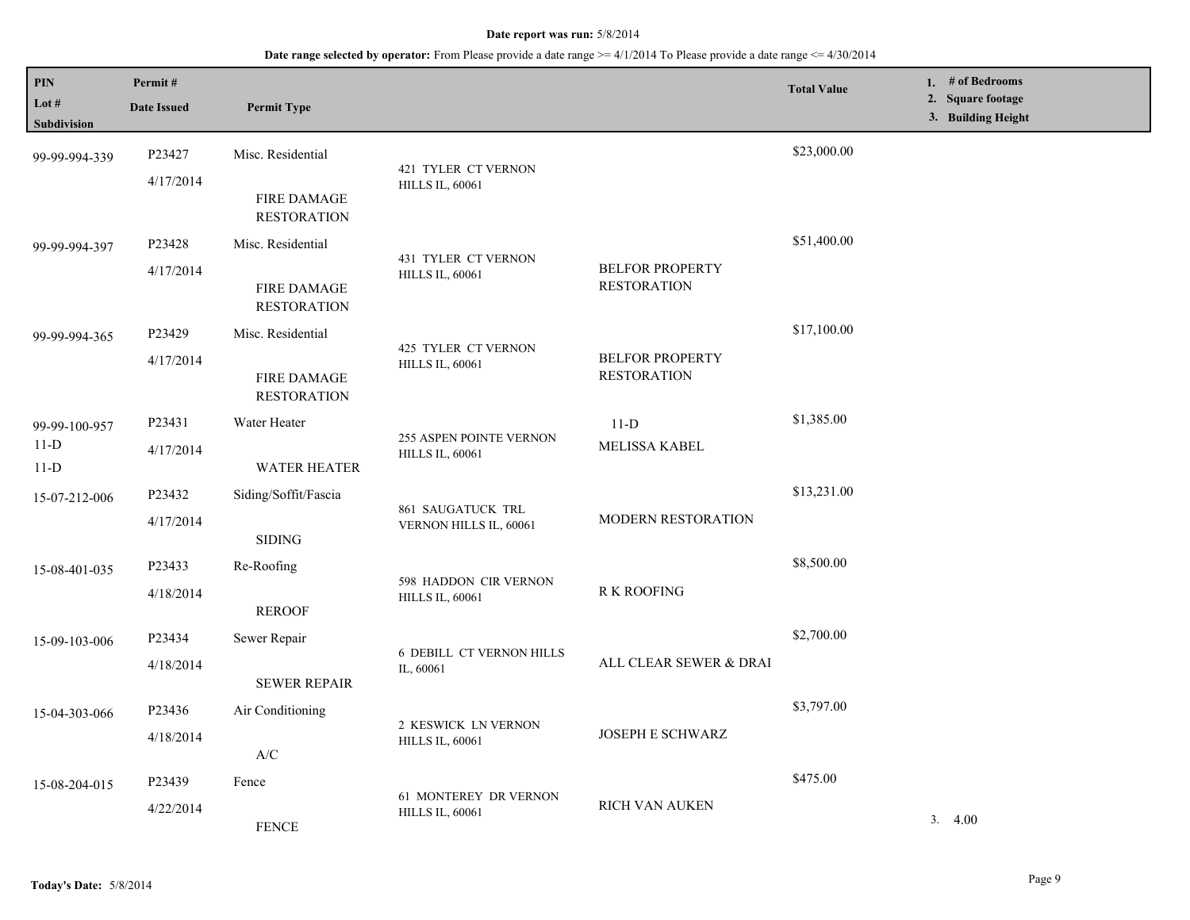| PIN<br>Lot $#$   | Permit#<br><b>Date Issued</b>                                                                          | <b>Permit Type</b>                       |                                                 |                                              | <b>Total Value</b> | 1. $#$ of Bedrooms<br>2. Square footage<br>3. Building Height |
|------------------|--------------------------------------------------------------------------------------------------------|------------------------------------------|-------------------------------------------------|----------------------------------------------|--------------------|---------------------------------------------------------------|
| Subdivision      |                                                                                                        |                                          |                                                 |                                              |                    |                                                               |
| 99-99-994-339    | P23427                                                                                                 | Misc. Residential                        | 421 TYLER CT VERNON                             |                                              | \$23,000.00        |                                                               |
|                  | 4/17/2014                                                                                              | <b>FIRE DAMAGE</b><br><b>RESTORATION</b> | <b>HILLS IL, 60061</b>                          |                                              |                    |                                                               |
| 99-99-994-397    | P23428                                                                                                 | Misc. Residential                        | 431 TYLER CT VERNON                             |                                              | \$51,400.00        |                                                               |
|                  | 4/17/2014                                                                                              | <b>FIRE DAMAGE</b><br><b>RESTORATION</b> | <b>HILLS IL, 60061</b>                          | <b>BELFOR PROPERTY</b><br><b>RESTORATION</b> |                    |                                                               |
| 99-99-994-365    | P23429                                                                                                 | Misc. Residential                        |                                                 |                                              | \$17,100.00        |                                                               |
|                  | 4/17/2014                                                                                              | <b>FIRE DAMAGE</b><br><b>RESTORATION</b> | 425 TYLER CT VERNON<br><b>HILLS IL, 60061</b>   | <b>BELFOR PROPERTY</b><br><b>RESTORATION</b> |                    |                                                               |
| 99-99-100-957    | P23431                                                                                                 | Water Heater                             |                                                 | $11-D$                                       | \$1,385.00         |                                                               |
| $11-D$<br>$11-D$ | 255 ASPEN POINTE VERNON<br>MELISSA KABEL<br>4/17/2014<br><b>HILLS IL, 60061</b><br><b>WATER HEATER</b> |                                          |                                                 |                                              |                    |                                                               |
| 15-07-212-006    | P23432                                                                                                 | Siding/Soffit/Fascia                     |                                                 |                                              | \$13,231.00        |                                                               |
|                  | 4/17/2014                                                                                              | <b>SIDING</b>                            | 861 SAUGATUCK TRL<br>VERNON HILLS IL, 60061     | MODERN RESTORATION                           |                    |                                                               |
| 15-08-401-035    | P23433                                                                                                 | Re-Roofing                               | 598 HADDON CIR VERNON                           |                                              | \$8,500.00         |                                                               |
|                  | 4/18/2014                                                                                              | <b>REROOF</b>                            | <b>HILLS IL, 60061</b>                          | R K ROOFING                                  |                    |                                                               |
| 15-09-103-006    | P23434                                                                                                 | Sewer Repair                             | <b>6 DEBILL CT VERNON HILLS</b>                 |                                              | \$2,700.00         |                                                               |
|                  | 4/18/2014                                                                                              | <b>SEWER REPAIR</b>                      | IL, 60061                                       | ALL CLEAR SEWER & DRAI                       |                    |                                                               |
| 15-04-303-066    | P23436                                                                                                 | Air Conditioning                         | 2 KESWICK LN VERNON                             |                                              | \$3,797.00         |                                                               |
|                  | 4/18/2014                                                                                              | A/C                                      | <b>HILLS IL, 60061</b>                          | JOSEPH E SCHWARZ                             |                    |                                                               |
| 15-08-204-015    | P23439                                                                                                 | Fence                                    |                                                 | RICH VAN AUKEN                               | \$475.00           |                                                               |
|                  | 4/22/2014                                                                                              | <b>FENCE</b>                             | 61 MONTEREY DR VERNON<br><b>HILLS IL, 60061</b> |                                              |                    | 3.4.00                                                        |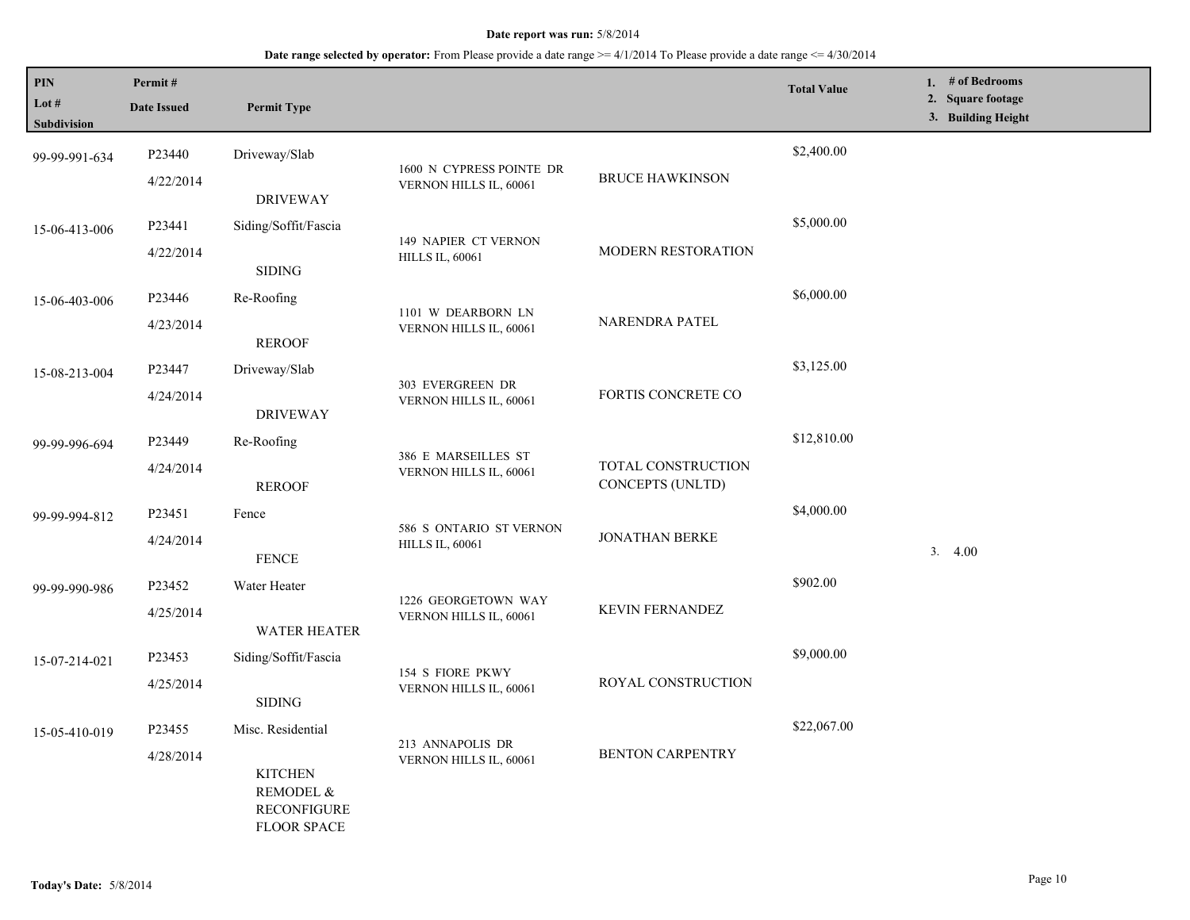| PIN<br>Lot $#$<br>Subdivision | Permit#<br><b>Date Issued</b> | <b>Permit Type</b>                                                      |                                                                       |                                        | <b>Total Value</b> | 1. # of Bedrooms<br>2. Square footage<br>3. Building Height |
|-------------------------------|-------------------------------|-------------------------------------------------------------------------|-----------------------------------------------------------------------|----------------------------------------|--------------------|-------------------------------------------------------------|
| 99-99-991-634                 | P23440                        | Driveway/Slab                                                           | 1600 N CYPRESS POINTE DR                                              | <b>BRUCE HAWKINSON</b>                 | \$2,400.00         |                                                             |
|                               | 4/22/2014                     | <b>DRIVEWAY</b>                                                         | VERNON HILLS IL, 60061                                                |                                        |                    |                                                             |
| 15-06-413-006                 | P23441                        | Siding/Soffit/Fascia                                                    |                                                                       |                                        | \$5,000.00         |                                                             |
|                               | 4/22/2014                     | <b>SIDING</b>                                                           | 149 NAPIER CT VERNON<br><b>HILLS IL, 60061</b>                        | MODERN RESTORATION                     |                    |                                                             |
| 15-06-403-006                 | P23446                        | Re-Roofing                                                              | 1101 W DEARBORN LN                                                    |                                        | \$6,000.00         |                                                             |
|                               | 4/23/2014                     | <b>REROOF</b>                                                           | VERNON HILLS IL, 60061                                                | NARENDRA PATEL                         |                    |                                                             |
| 15-08-213-004                 | P23447                        | Driveway/Slab                                                           | 303 EVERGREEN DR                                                      |                                        | \$3,125.00         |                                                             |
|                               | 4/24/2014                     | <b>DRIVEWAY</b>                                                         | VERNON HILLS IL, 60061                                                | FORTIS CONCRETE CO                     |                    |                                                             |
| 99-99-996-694                 | P23449                        | Re-Roofing                                                              | 386 E MARSEILLES ST                                                   |                                        | \$12,810.00        |                                                             |
|                               | 4/24/2014                     | <b>REROOF</b>                                                           | VERNON HILLS IL, 60061                                                | TOTAL CONSTRUCTION<br>CONCEPTS (UNLTD) |                    |                                                             |
| 99-99-994-812                 | P23451                        | Fence                                                                   | 586 S ONTARIO ST VERNON                                               |                                        | \$4,000.00         |                                                             |
|                               | 4/24/2014                     | <b>FENCE</b>                                                            | <b>HILLS IL, 60061</b>                                                | <b>JONATHAN BERKE</b>                  |                    | 3.4.00                                                      |
| 99-99-990-986                 | P23452                        | Water Heater                                                            | 1226 GEORGETOWN WAY                                                   |                                        | \$902.00           |                                                             |
|                               | 4/25/2014                     | <b>WATER HEATER</b>                                                     | VERNON HILLS IL, 60061                                                | KEVIN FERNANDEZ                        |                    |                                                             |
| 15-07-214-021                 | P23453                        | Siding/Soffit/Fascia                                                    | 154 S FIORE PKWY                                                      |                                        | \$9,000.00         |                                                             |
|                               | 4/25/2014                     | <b>SIDING</b>                                                           | VERNON HILLS IL, 60061                                                | ROYAL CONSTRUCTION                     |                    |                                                             |
| 15-05-410-019                 | P23455                        | Misc. Residential                                                       |                                                                       |                                        | \$22,067.00        |                                                             |
|                               | 4/28/2014                     | <b>KITCHEN</b><br>REMODEL &<br><b>RECONFIGURE</b><br><b>FLOOR SPACE</b> | 213 ANNAPOLIS DR<br><b>BENTON CARPENTRY</b><br>VERNON HILLS IL, 60061 |                                        |                    |                                                             |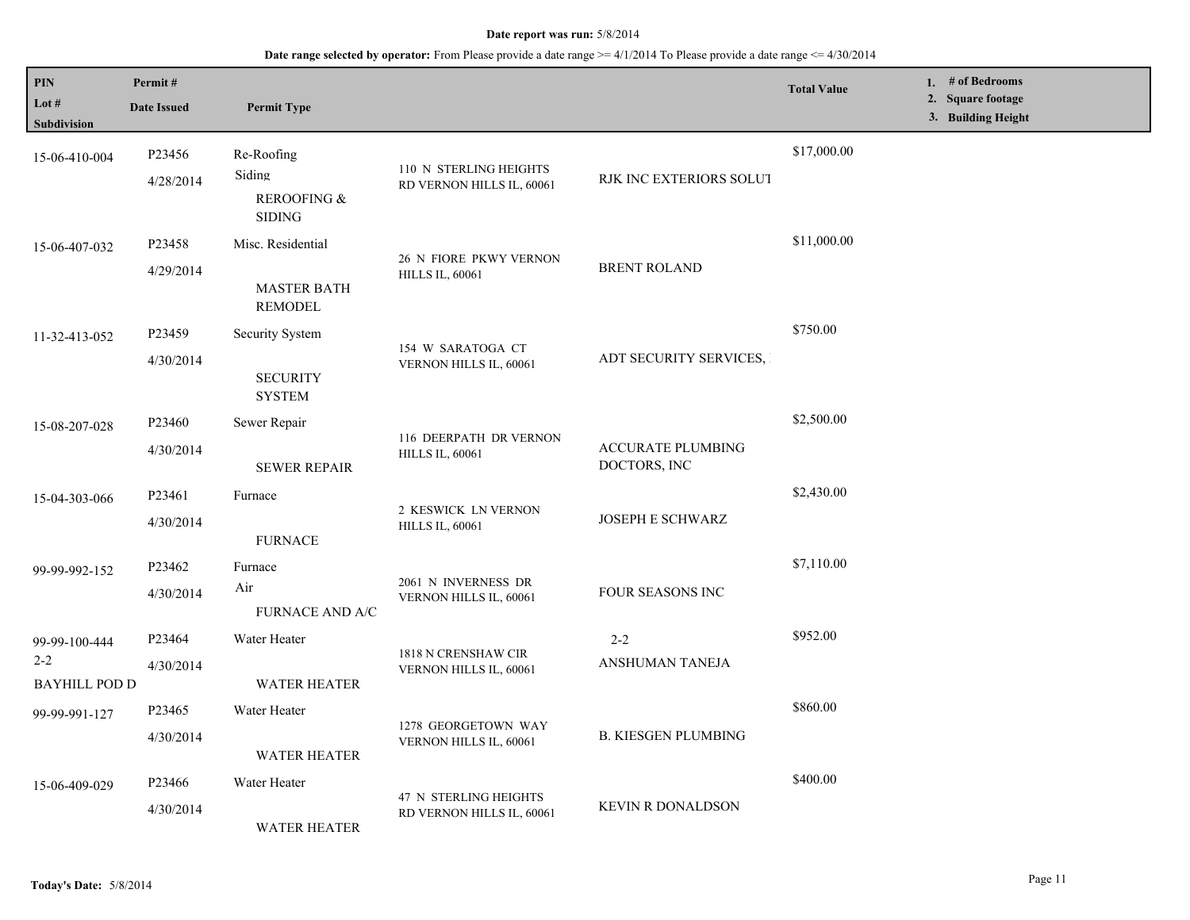| PIN<br>Lot #<br><b>Subdivision</b>               | Permit#<br><b>Date Issued</b> | <b>Permit Type</b>                                         |                                                     |                                          | <b>Total Value</b> | 1. # of Bedrooms<br>2. Square footage<br>3. Building Height |
|--------------------------------------------------|-------------------------------|------------------------------------------------------------|-----------------------------------------------------|------------------------------------------|--------------------|-------------------------------------------------------------|
| 15-06-410-004                                    | P23456<br>4/28/2014           | Re-Roofing<br>Siding<br>REROOFING &<br><b>SIDING</b>       | 110 N STERLING HEIGHTS<br>RD VERNON HILLS IL, 60061 | RJK INC EXTERIORS SOLUT                  | \$17,000.00        |                                                             |
| 15-06-407-032                                    | P23458<br>4/29/2014           | Misc. Residential<br><b>MASTER BATH</b><br><b>REMODEL</b>  | 26 N FIORE PKWY VERNON<br><b>HILLS IL, 60061</b>    | <b>BRENT ROLAND</b>                      | \$11,000.00        |                                                             |
| 11-32-413-052                                    | P23459<br>4/30/2014           | <b>Security System</b><br><b>SECURITY</b><br><b>SYSTEM</b> | 154 W SARATOGA CT<br>VERNON HILLS IL, 60061         | ADT SECURITY SERVICES,                   | \$750.00           |                                                             |
| 15-08-207-028                                    | P23460<br>4/30/2014           | Sewer Repair<br><b>SEWER REPAIR</b>                        | 116 DEERPATH DR VERNON<br><b>HILLS IL, 60061</b>    | <b>ACCURATE PLUMBING</b><br>DOCTORS, INC | \$2,500.00         |                                                             |
| 15-04-303-066                                    | P23461<br>4/30/2014           | Furnace<br><b>FURNACE</b>                                  | 2 KESWICK LN VERNON<br><b>HILLS IL, 60061</b>       | JOSEPH E SCHWARZ                         | \$2,430.00         |                                                             |
| 99-99-992-152                                    | P23462<br>4/30/2014           | Furnace<br>Air<br>FURNACE AND A/C                          | 2061 N INVERNESS DR<br>VERNON HILLS IL, 60061       | <b>FOUR SEASONS INC</b>                  | \$7,110.00         |                                                             |
| 99-99-100-444<br>$2 - 2$<br><b>BAYHILL POD D</b> | P23464<br>4/30/2014           | Water Heater<br><b>WATER HEATER</b>                        | 1818 N CRENSHAW CIR<br>VERNON HILLS IL, 60061       | $2 - 2$<br>ANSHUMAN TANEJA               | \$952.00           |                                                             |
| 99-99-991-127                                    | P23465<br>4/30/2014           | Water Heater<br><b>WATER HEATER</b>                        | 1278 GEORGETOWN WAY<br>VERNON HILLS IL, 60061       | <b>B. KIESGEN PLUMBING</b>               | \$860.00           |                                                             |
| 15-06-409-029                                    | P23466<br>4/30/2014           | Water Heater<br><b>WATER HEATER</b>                        | 47 N STERLING HEIGHTS<br>RD VERNON HILLS IL, 60061  | <b>KEVIN R DONALDSON</b>                 | \$400.00           |                                                             |